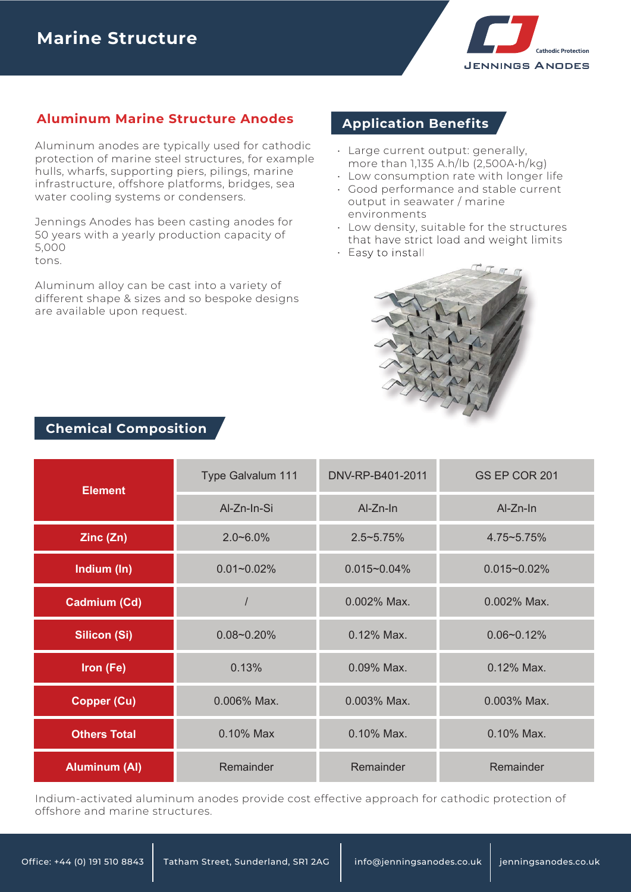

### **Aluminum Marine Structure Anodes**

Aluminum anodes are typically used for cathodic protection of marine steel structures, for example hulls, wharfs, supporting piers, pilings, marine infrastructure, offshore platforms, bridges, sea water cooling systems or condensers.

Jennings Anodes has been casting anodes for 50 years with a yearly production capacity of 5,000 tons.

Aluminum alloy can be cast into a variety of different shape & sizes and so bespoke designs are available upon request.

## **Application Benefits**

- Large current output: generally, more than 1,135 A.h/lb (2,500A•h/kg)
- Low consumption rate with longer life
- Good performance and stable current output in seawater / marine environments
- $\,\cdot\,$  Low density, suitable for the structures that have strict load and weight limits
- Easy to install



| <b>Element</b>       | Type Galvalum 111 | DNV-RP-B401-2011 | GS EP COR 201    |  |
|----------------------|-------------------|------------------|------------------|--|
|                      | Al-Zn-In-Si       | Al-Zn-In         | Al-Zn-In         |  |
| Zinc(Zn)             | $2.0 - 6.0\%$     | $2.5 - 5.75%$    | 4.75~5.75%       |  |
| Indium (In)          | $0.01 - 0.02\%$   |                  | $0.015 - 0.02\%$ |  |
| Cadmium (Cd)         |                   | 0.002% Max.      | 0.002% Max.      |  |
| <b>Silicon (Si)</b>  | $0.08 - 0.20%$    | 0.12% Max.       | $0.06 - 0.12%$   |  |
| Iron (Fe)            | 0.13%             |                  | 0.12% Max.       |  |
| <b>Copper (Cu)</b>   | 0.006% Max.       |                  | 0.003% Max.      |  |
| <b>Others Total</b>  | 0.10% Max         |                  | 0.10% Max.       |  |
| <b>Aluminum (AI)</b> | Remainder         | Remainder        | Remainder        |  |

Indium-activated aluminum anodes provide cost effective approach for cathodic protection of offshore and marine structures.

#### **Chemical Composition**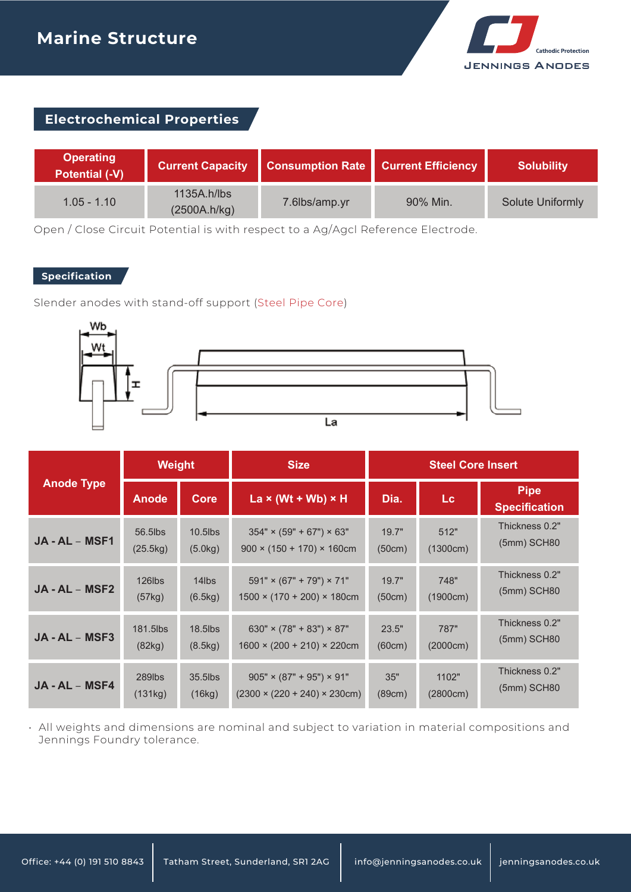

# **Electrochemical Properties**

| <b>Operating</b><br><b>Potential (-V)</b> | <b>Current Capacity</b>     | Consumption Rate Current Efficiency |          | <b>Solubility</b>       |
|-------------------------------------------|-----------------------------|-------------------------------------|----------|-------------------------|
| $1.05 - 1.10$                             | 1135A.h/lbs<br>(2500A.h/kg) | 7.6lbs/amp.yr                       | 90% Min. | <b>Solute Uniformly</b> |

Open / Close Circuit Potential is with respect to a Ag/Agcl Reference Electrode.

#### **Specification**

Slender anodes with stand-off support (Steel Pipe Core)



| <b>Anode Type</b> | <b>Weight</b>      |             | <b>Size</b>                               | <b>Steel Core Insert</b> |          |                                     |
|-------------------|--------------------|-------------|-------------------------------------------|--------------------------|----------|-------------------------------------|
|                   | <b>Anode</b>       | <b>Core</b> | La $\times$ (Wt + Wb) $\times$ H          | Dia.                     | Lc       | <b>Pipe</b><br><b>Specification</b> |
| JA - AL - MSF1    | 56.5lbs            | $10.5$ lbs  | $354" \times (59" + 67") \times 63"$      | 19.7"                    | 512"     | Thickness 0.2"                      |
|                   | (25.5kg)           | (5.0kg)     | $900 \times (150 + 170) \times 160$ cm    | (50cm)                   | (1300cm) | $(5mm)$ SCH80                       |
| $JA - AL - MSF2$  | 126lbs             | 14lbs       | $591" \times (67" + 79") \times 71"$      | 19.7"                    | 748"     | Thickness 0.2"                      |
|                   | (57kg)             | (6.5kg)     | $1500 \times (170 + 200) \times 180$ cm   | (50cm)                   | (1900cm) | $(5mm)$ SCH80                       |
| JA - AL - MSF3    | 181.5lbs           | 18.5lbs     | $630'' \times (78'' + 83'') \times 87''$  | 23.5"                    | 787"     | Thickness 0.2"                      |
|                   | (82kg)             | (8.5kg)     | $1600 \times (200 + 210) \times 220$ cm   | (60cm)                   | (2000cm) | $(5mm)$ SCH80                       |
| JA - AL - MSF4    | 289 <sub>lbs</sub> | 35.5lbs     | $905" \times (87" + 95") \times 91"$      | 35"                      | 1102"    | Thickness 0.2"                      |
|                   | (131kg)            | (16kg)      | $(2300 \times (220 + 240) \times 230$ cm) | (89cm)                   | (2800cm) | $(5mm)$ SCH80                       |

All weights and dimensions are nominal and subject to variation in material compositions and • Jennings Foundry tolerance.